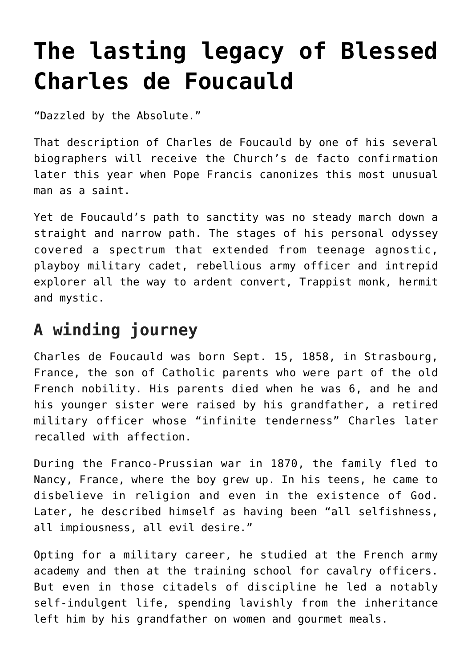# **[The lasting legacy of Blessed](https://www.osvnews.com/2020/08/03/the-lasting-legacy-of-blessed-charles-de-foucauld/) [Charles de Foucauld](https://www.osvnews.com/2020/08/03/the-lasting-legacy-of-blessed-charles-de-foucauld/)**

"Dazzled by the Absolute."

That description of Charles de Foucauld by one of his several biographers will receive the Church's de facto confirmation later this year when Pope Francis canonizes this most unusual man as a saint.

Yet de Foucauld's path to sanctity was no steady march down a straight and narrow path. The stages of his personal odyssey covered a spectrum that extended from teenage agnostic, playboy military cadet, rebellious army officer and intrepid explorer all the way to ardent convert, Trappist monk, hermit and mystic.

## **A winding journey**

Charles de Foucauld was born Sept. 15, 1858, in Strasbourg, France, the son of Catholic parents who were part of the old French nobility. His parents died when he was 6, and he and his younger sister were raised by his grandfather, a retired military officer whose "infinite tenderness" Charles later recalled with affection.

During the Franco-Prussian war in 1870, the family fled to Nancy, France, where the boy grew up. In his teens, he came to disbelieve in religion and even in the existence of God. Later, he described himself as having been "all selfishness, all impiousness, all evil desire."

Opting for a military career, he studied at the French army academy and then at the training school for cavalry officers. But even in those citadels of discipline he led a notably self-indulgent life, spending lavishly from the inheritance left him by his grandfather on women and gourmet meals.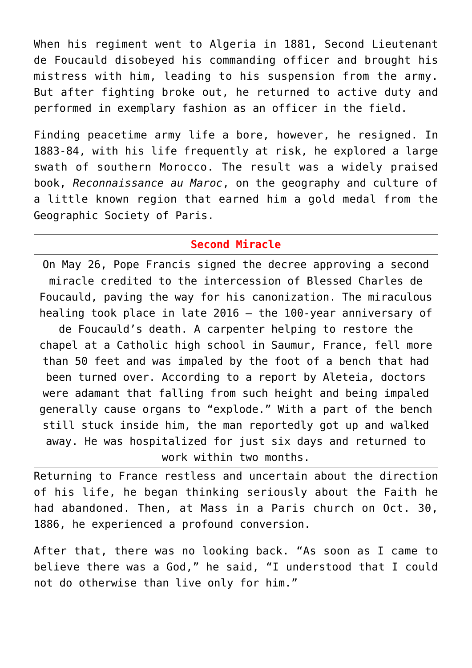When his regiment went to Algeria in 1881, Second Lieutenant de Foucauld disobeyed his commanding officer and brought his mistress with him, leading to his suspension from the army. But after fighting broke out, he returned to active duty and performed in exemplary fashion as an officer in the field.

Finding peacetime army life a bore, however, he resigned. In 1883-84, with his life frequently at risk, he explored a large swath of southern Morocco. The result was a widely praised book, *Reconnaissance au Maroc*, on the geography and culture of a little known region that earned him a gold medal from the Geographic Society of Paris.

#### **Second Miracle**

On May 26, Pope Francis signed the decree approving a second miracle credited to the intercession of Blessed Charles de Foucauld, paving the way for his canonization. The miraculous healing took place in late 2016 — the 100-year anniversary of de Foucauld's death. A carpenter helping to restore the chapel at a Catholic high school in Saumur, France, fell more than 50 feet and was impaled by the foot of a bench that had been turned over. According to a report by Aleteia, doctors were adamant that falling from such height and being impaled generally cause organs to "explode." With a part of the bench still stuck inside him, the man reportedly got up and walked away. He was hospitalized for just six days and returned to work within two months.

Returning to France restless and uncertain about the direction of his life, he began thinking seriously about the Faith he had abandoned. Then, at Mass in a Paris church on Oct. 30, 1886, he experienced a profound conversion.

After that, there was no looking back. "As soon as I came to believe there was a God," he said, "I understood that I could not do otherwise than live only for him."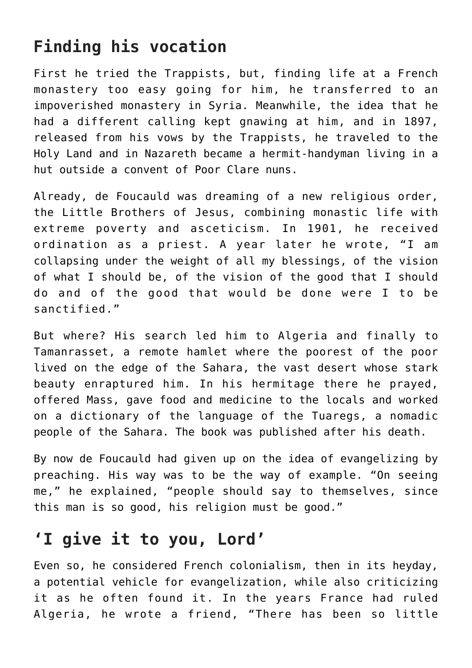## **Finding his vocation**

First he tried the Trappists, but, finding life at a French monastery too easy going for him, he transferred to an impoverished monastery in Syria. Meanwhile, the idea that he had a different calling kept gnawing at him, and in 1897, released from his vows by the Trappists, he traveled to the Holy Land and in Nazareth became a hermit-handyman living in a hut outside a convent of Poor Clare nuns.

Already, de Foucauld was dreaming of a new religious order, the Little Brothers of Jesus, combining monastic life with extreme poverty and asceticism. In 1901, he received ordination as a priest. A year later he wrote, "I am collapsing under the weight of all my blessings, of the vision of what I should be, of the vision of the good that I should do and of the good that would be done were I to be sanctified."

But where? His search led him to Algeria and finally to Tamanrasset, a remote hamlet where the poorest of the poor lived on the edge of the Sahara, the vast desert whose stark beauty enraptured him. In his hermitage there he prayed, offered Mass, gave food and medicine to the locals and worked on a dictionary of the language of the Tuaregs, a nomadic people of the Sahara. The book was published after his death.

By now de Foucauld had given up on the idea of evangelizing by preaching. His way was to be the way of example. "On seeing me," he explained, "people should say to themselves, since this man is so good, his religion must be good."

### **'I give it to you, Lord'**

Even so, he considered French colonialism, then in its heyday, a potential vehicle for evangelization, while also criticizing it as he often found it. In the years France had ruled Algeria, he wrote a friend, "There has been so little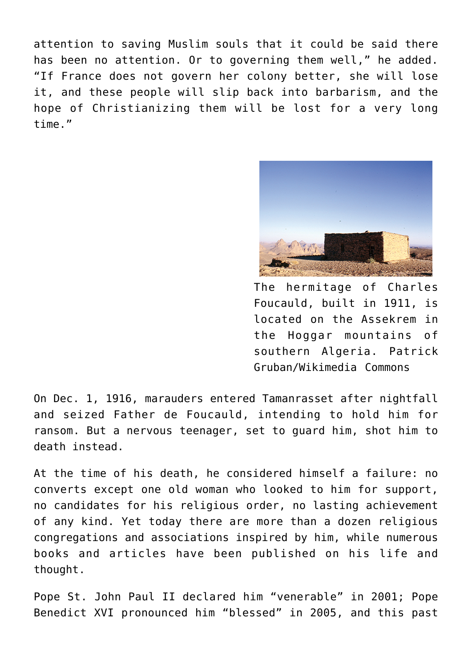attention to saving Muslim souls that it could be said there has been no attention. Or to governing them well," he added. "If France does not govern her colony better, she will lose it, and these people will slip back into barbarism, and the hope of Christianizing them will be lost for a very long time."



The hermitage of Charles Foucauld, built in 1911, is located on the Assekrem in the Hoggar mountains of southern Algeria. Patrick Gruban/Wikimedia Commons

On Dec. 1, 1916, marauders entered Tamanrasset after nightfall and seized Father de Foucauld, intending to hold him for ransom. But a nervous teenager, set to guard him, shot him to death instead.

At the time of his death, he considered himself a failure: no converts except one old woman who looked to him for support, no candidates for his religious order, no lasting achievement of any kind. Yet today there are more than a dozen religious congregations and associations inspired by him, while numerous books and articles have been published on his life and thought.

Pope St. John Paul II declared him "venerable" in 2001; Pope Benedict XVI pronounced him "blessed" in 2005, and this past